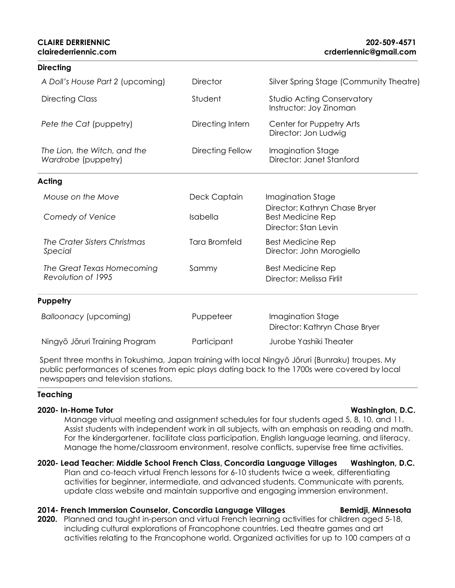| <b>Directing</b>                                    |                      |                                                       |
|-----------------------------------------------------|----------------------|-------------------------------------------------------|
| A Doll's House Part 2 (upcoming)                    | <b>Director</b>      | Silver Spring Stage (Community Theatre)               |
| <b>Directing Class</b>                              | Student              | Studio Acting Conservatory<br>Instructor: Joy Zinoman |
| Pete the Cat (puppetry)                             | Directing Intern     | Center for Puppetry Arts<br>Director: Jon Ludwig      |
| The Lion, the Witch, and the<br>Wardrobe (puppetry) | Directing Fellow     | Imagination Stage<br>Director: Janet Stanford         |
| <b>Acting</b>                                       |                      |                                                       |
| Mouse on the Move                                   | Deck Captain         | Imagination Stage<br>Director: Kathryn Chase Bryer    |
| Comedy of Venice                                    | Isabella             | <b>Best Medicine Rep</b><br>Director: Stan Levin      |
| The Crater Sisters Christmas<br>Special             | <b>Tara Bromfeld</b> | <b>Best Medicine Rep</b><br>Director: John Morogiello |
| The Great Texas Homecoming<br>Revolution of 1995    | Sammy                | <b>Best Medicine Rep</b><br>Director: Melissa Firlit  |
| Puppetry                                            |                      |                                                       |
| Balloonacy (upcoming)                               | Puppeteer            | Imagination Stage<br>Director: Kathryn Chase Bryer    |
| Ningyō Jōruri Training Program                      | Participant          | Jurobe Yashiki Theater                                |

Spent three months in Tokushima, Japan training with local Ningyō Jōruri (Bunraku) troupes. My public performances of scenes from epic plays dating back to the 1700s were covered by local newspapers and television stations.

### **Teaching**

### **2020- In-Home Tutor Washington, D.C.**

Manage virtual meeting and assignment schedules for four students aged 5, 8, 10, and 11. Assist students with independent work in all subjects, with an emphasis on reading and math. For the kindergartener, facilitate class participation, English language learning, and literacy. Manage the home/classroom environment, resolve conflicts, supervise free time activities.

### **2020- Lead Teacher: Middle School French Class, Concordia Language Villages Washington, D.C.**

Plan and co-teach virtual French lessons for 6-10 students twice a week, differentiating activities for beginner, intermediate, and advanced students. Communicate with parents, update class website and maintain supportive and engaging immersion environment.

### 2014- French Immersion Counselor, Concordia Language Villages Bemidji, Minnesota

**2020.** Planned and taught in-person and virtual French learning activities for children aged 5-18, including cultural explorations of Francophone countries. Led theatre games and art activities relating to the Francophone world. Organized activities for up to 100 campers at a